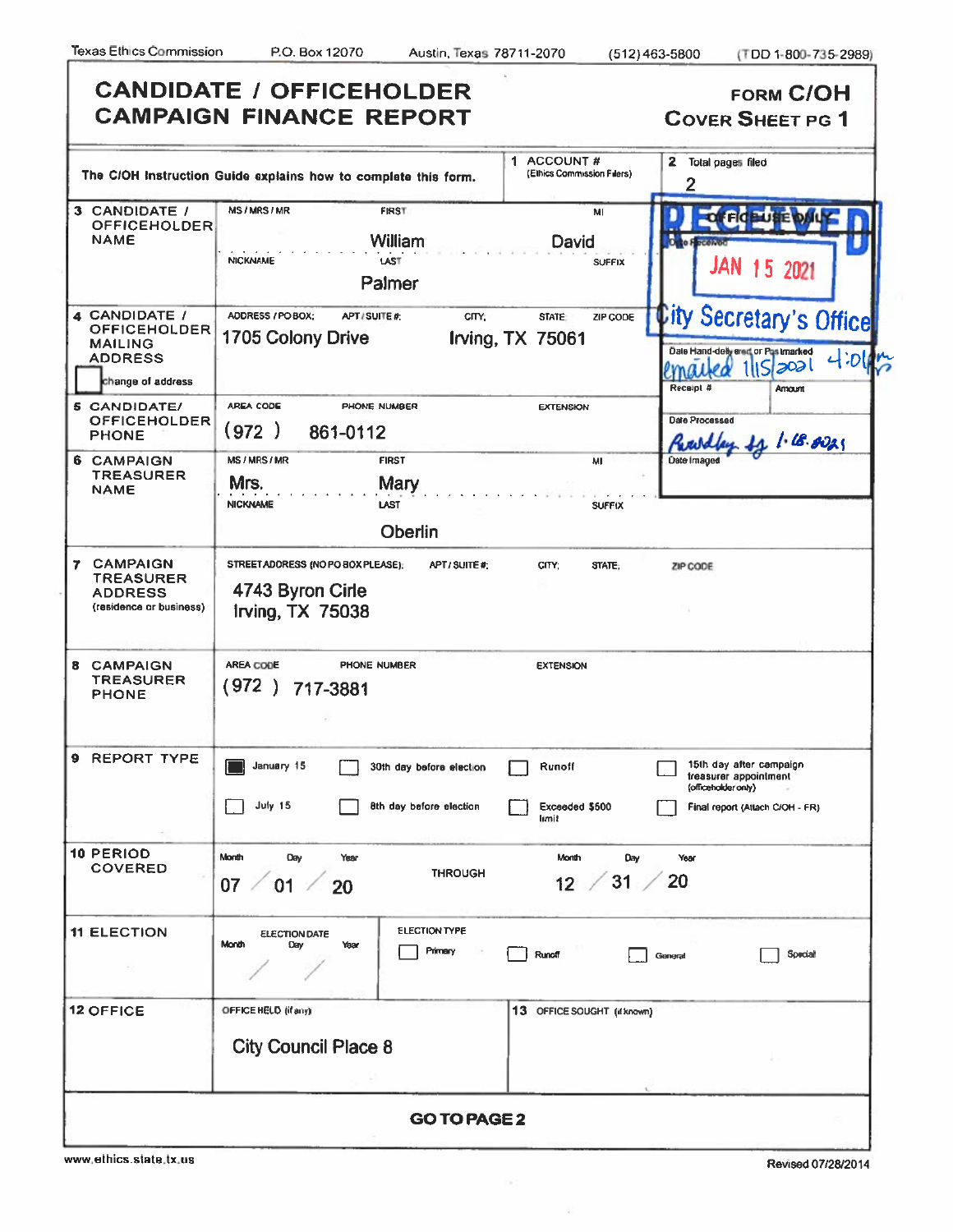ſ

|                                                                                               | <b>CANDIDATE / OFFICEHOLDER</b><br><b>CAMPAIGN FINANCE REPORT</b>                                                   | <b>FORM C/OH</b><br><b>COVER SHEET PG 1</b>                                                                                 |
|-----------------------------------------------------------------------------------------------|---------------------------------------------------------------------------------------------------------------------|-----------------------------------------------------------------------------------------------------------------------------|
|                                                                                               | 1 ACCOUNT#<br>(Elhics Commission Filers)<br>The C/OH Instruction Guide explains how to complete this form.          | 2 Total pages filed<br>2                                                                                                    |
| 3 CANDIDATE /<br><b>OFFICEHOLDER</b><br><b>NAME</b>                                           | MS/MRS/MR<br>FIRST<br>MI<br>William<br>David<br><b>NICKNAME</b><br>LAST<br><b>SUFFIX</b><br>Palmer                  | <b>OFFICEUSE D</b><br>Oglo Focenon<br>JAN 15 2021                                                                           |
| 4 CANDIDATE /<br><b>OFFICEHOLDER</b><br><b>MAILING</b><br><b>ADDRESS</b><br>change of address | ADDRESS / PO BOX;<br>APT/SUITE#;<br>CITY;<br>STATE:<br>ZIP CODE<br>1705 Colony Drive<br>Irving, TX 75061            | <b>City Secretary's Office</b><br>Date Hand-deliyered or Pustmarked<br>4.01m<br>11 5 303 <br>emailea<br>Receipt #<br>Amount |
| 5 CANDIDATE/<br><b>OFFICEHOLDER</b><br><b>PHONE</b>                                           | AREA CODE<br>PHONE NUMBER<br><b>EXTENSION</b><br>(972)<br>861-0112                                                  | Date Processed<br>11 / 18.0025<br>Republican.                                                                               |
| 6 CAMPAIGN<br><b>TREASURER</b><br><b>NAME</b>                                                 | <b>MS/MRS/MR</b><br><b>FIRST</b><br>MI<br>Mrs.<br>Mary<br><b>NICKNAME</b><br>LAST<br><b>SUFFIX</b><br>Oberlin       | Date Imaged                                                                                                                 |
| <b>7 CAMPAIGN</b><br><b>TREASURER</b><br><b>ADDRESS</b><br>(residence or business)            | STREET ADDRESS (NO PO BOX PLEASE):<br>APT/SUITE#:<br>CITY:<br>STATE:<br>4743 Byron Cirle<br><b>Irving, TX 75038</b> | ZIP CODE                                                                                                                    |
| <b>CAMPAIGN</b><br>8<br><b>TREASURER</b><br><b>PHONE</b>                                      | AREA CODE<br>PHONE NUMBER<br><b>EXTENSION</b><br>(972)<br>717-3881                                                  |                                                                                                                             |
| 9 REPORT TYPE                                                                                 | January 15<br>Runoff<br>30th day before election                                                                    | 15th day after campaign<br>treasurer appointment<br>(officeholder only)                                                     |
|                                                                                               | July 15<br>8th day before election<br>Exceeded \$500<br>limit                                                       | Final report (Atlach C/OH - FR)                                                                                             |
| <b>10 PERIOD</b><br><b>COVERED</b>                                                            | Month<br>Day<br>Month<br>Day<br>Year<br><b>THROUGH</b><br>31/<br>$12 -$<br>07<br>01<br>20                           | Year<br>20                                                                                                                  |
| <b>11 ELECTION</b>                                                                            | <b>ELECTION TYPE</b><br><b>ELECTION DATE</b><br>Month<br>Day<br>Year<br>Primary<br>Runoff                           | Special<br>General                                                                                                          |
| <b>12 OFFICE</b>                                                                              | OFFICE HELD (if any)<br>13 OFFICE SOUGHT (if known)<br><b>City Council Place 8</b>                                  |                                                                                                                             |
|                                                                                               | <b>GO TO PAGE 2</b>                                                                                                 |                                                                                                                             |

 $\langle \sigma \rangle$ 

www.ethics.state.tx.us